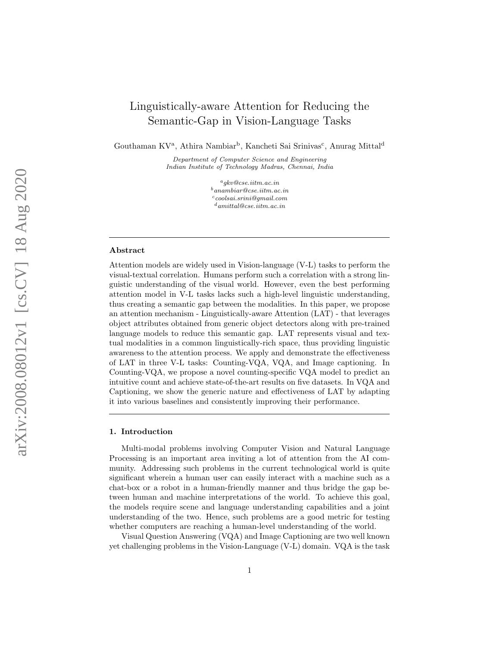# Linguistically-aware Attention for Reducing the Semantic-Gap in Vision-Language Tasks

Gouthaman KV<sup>a</sup>, Athira Nambiar<sup>b</sup>, Kancheti Sai Srinivas<sup>c</sup>, Anurag Mittal<sup>d</sup>

Department of Computer Science and Engineering Indian Institute of Technology Madras, Chennai, India

 $a_{gkv@cse.iitm.ac.in}$ <br>  $b_{anambiar@cse.iitm.ac.in}$ <br>  $c_{coolsai.srini@gmail.com}$ <br>  $d_{amitttal@cse.iitm.ac.in}$ 

#### Abstract

Attention models are widely used in Vision-language (V-L) tasks to perform the visual-textual correlation. Humans perform such a correlation with a strong linguistic understanding of the visual world. However, even the best performing attention model in V-L tasks lacks such a high-level linguistic understanding, thus creating a semantic gap between the modalities. In this paper, we propose an attention mechanism - Linguistically-aware Attention (LAT) - that leverages object attributes obtained from generic object detectors along with pre-trained language models to reduce this semantic gap. LAT represents visual and textual modalities in a common linguistically-rich space, thus providing linguistic awareness to the attention process. We apply and demonstrate the effectiveness of LAT in three V-L tasks: Counting-VQA, VQA, and Image captioning. In Counting-VQA, we propose a novel counting-specific VQA model to predict an intuitive count and achieve state-of-the-art results on five datasets. In VQA and Captioning, we show the generic nature and effectiveness of LAT by adapting it into various baselines and consistently improving their performance.

#### 1. Introduction

Multi-modal problems involving Computer Vision and Natural Language Processing is an important area inviting a lot of attention from the AI com munity. Addressing such problems in the current technological world is quite significant wherein a human user can easily interact with a machine such as a chat-box or a robot in a human-friendly manner and thus bridge the gap between human and machine interpretations of the world. To achieve this goal, the models require scene and language understanding capabilities and a joint understanding of the two. Hence, such problems are a good metric for testing whether computers are reaching a human-level understanding of the world.

Visual Question Answering (VQA) and Image Captioning are two well known yet challenging problems in the Vision-Language (V-L) domain. VQA is the task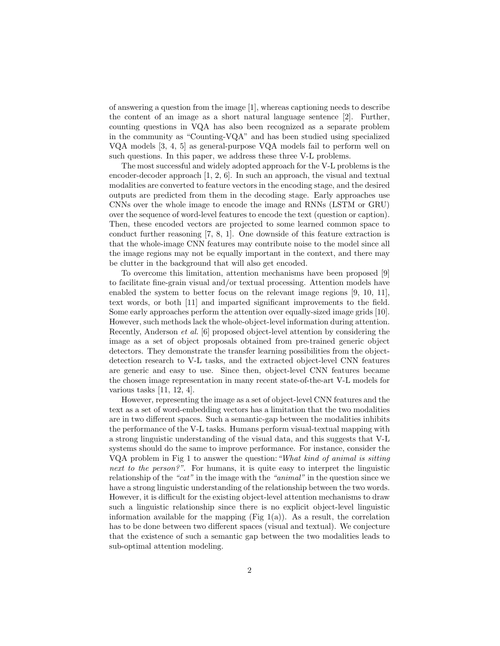of answering a question from the image [1], whereas captioning needs to describe the content of an image as a short natural language sentence [2]. Further, counting questions in VQA has also been recognized as a separate problem in the community as "Counting-VQA" and has been studied using specialized VQA models [3, 4, 5] as general-purpose VQA models fail to perform well on such questions. In this paper, we address these three V-L problems.

The most successful and widely adopted approach for the V-L problems is the encoder-decoder approach [1, 2, 6]. In such an approach, the visual and textual modalities are converted to feature vectors in the encoding stage, and the desired outputs are predicted from them in the decoding stage. Early approaches use CNNs over the whole image to encode the image and RNNs (LSTM or GRU) over the sequence of word-level features to encode the text (question or caption). Then, these encoded vectors are projected to some learned common space to conduct further reasoning [7, 8, 1]. One downside of this feature extraction is that the whole-image CNN features may contribute noise to the model since all the image regions may not be equally important in the context, and there may be clutter in the background that will also get encoded.

To overcome this limitation, attention mechanisms have been proposed [9] to facilitate fine-grain visual and/or textual processing. Attention models have enabled the system to better focus on the relevant image regions [9, 10, 11], text words, or both [11] and imparted significant improvements to the field. Some early approaches perform the attention over equally-sized image grids [10]. However, such methods lack the whole-object-level information during attention. Recently, Anderson et al. [6] proposed object-level attention by considering the image as a set of object proposals obtained from pre-trained generic object detectors. They demonstrate the transfer learning possibilities from the objectdetection research to V-L tasks, and the extracted object-level CNN features are generic and easy to use. Since then, object-level CNN features became the chosen image representation in many recent state-of-the-art V-L models for various tasks [11, 12, 4].

However, representing the image as a set of object-level CNN features and the text as a set of word-embedding vectors has a limitation that the two modalities are in two different spaces. Such a semantic-gap between the modalities inhibits the performance of the V-L tasks. Humans perform visual-textual mapping with a strong linguistic understanding of the visual data, and this suggests that V-L systems should do the same to improve performance. For instance, consider the VQA problem in Fig 1 to answer the question: "What kind of animal is sitting next to the person?". For humans, it is quite easy to interpret the linguistic relationship of the "cat" in the image with the "animal" in the question since we have a strong linguistic understanding of the relationship between the two words. However, it is difficult for the existing object-level attention mechanisms to draw such a linguistic relationship since there is no explicit object-level linguistic information available for the mapping (Fig  $1(a)$ ). As a result, the correlation has to be done between two different spaces (visual and textual). We conjecture that the existence of such a semantic gap between the two modalities leads to sub-optimal attention modeling.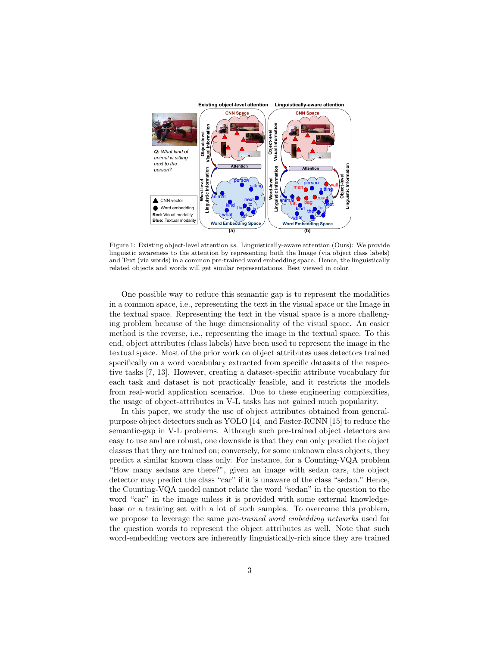

Figure 1: Existing object-level attention vs. Linguistically-aware attention (Ours): We provide linguistic awareness to the attention by representing both the Image (via object class labels) and Text (via words) in a common pre-trained word embedding space. Hence, the linguistically related objects and words will get similar representations. Best viewed in color.

One possible way to reduce this semantic gap is to represent the modalities in a common space, i.e., representing the text in the visual space or the Image in the textual space. Representing the text in the visual space is a more challenging problem because of the huge dimensionality of the visual space. An easier method is the reverse, i.e., representing the image in the textual space. To this end, object attributes (class labels) have been used to represent the image in the textual space. Most of the prior work on object attributes uses detectors trained specifically on a word vocabulary extracted from specific datasets of the respective tasks [7, 13]. However, creating a dataset-specific attribute vocabulary for each task and dataset is not practically feasible, and it restricts the models from real-world application scenarios. Due to these engineering complexities, the usage of object-attributes in V-L tasks has not gained much popularity.

In this paper, we study the use of object attributes obtained from generalpurpose object detectors such as YOLO [14] and Faster-RCNN [15] to reduce the semantic-gap in V-L problems. Although such pre-trained object detectors are easy to use and are robust, one downside is that they can only predict the object classes that they are trained on; conversely, for some unknown class objects, they predict a similar known class only. For instance, for a Counting-VQA problem "How many sedans are there?", given an image with sedan cars, the object detector may predict the class "car" if it is unaware of the class "sedan." Hence, the Counting-VQA model cannot relate the word "sedan" in the question to the word "car" in the image unless it is provided with some external knowledgebase or a training set with a lot of such samples. To overcome this problem, we propose to leverage the same pre-trained word embedding networks used for the question words to represent the object attributes as well. Note that such word-embedding vectors are inherently linguistically-rich since they are trained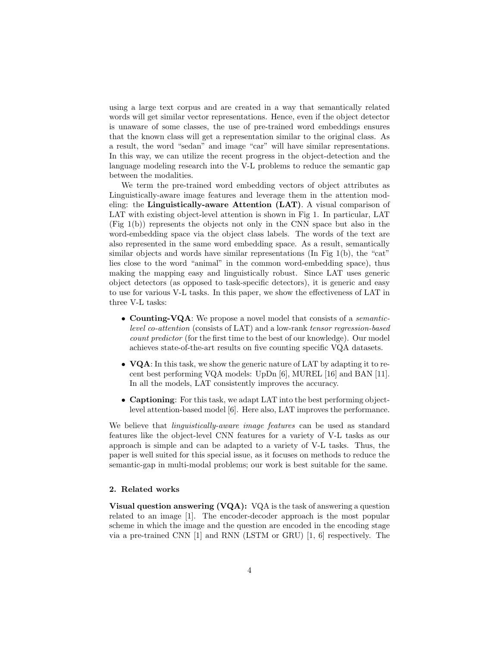using a large text corpus and are created in a way that semantically related words will get similar vector representations. Hence, even if the object detector is unaware of some classes, the use of pre-trained word embeddings ensures that the known class will get a representation similar to the original class. As a result, the word "sedan" and image "car" will have similar representations. In this way, we can utilize the recent progress in the object-detection and the language modeling research into the V-L problems to reduce the semantic gap between the modalities.

We term the pre-trained word embedding vectors of object attributes as Linguistically-aware image features and leverage them in the attention modeling: the Linguistically-aware Attention (LAT). A visual comparison of LAT with existing object-level attention is shown in Fig 1. In particular, LAT  $(Fig 1(b))$  represents the objects not only in the CNN space but also in the word-embedding space via the object class labels. The words of the text are also represented in the same word embedding space. As a result, semantically similar objects and words have similar representations (In Fig 1(b), the "cat" lies close to the word "animal" in the common word-embedding space), thus making the mapping easy and linguistically robust. Since LAT uses generic object detectors (as opposed to task-specific detectors), it is generic and easy to use for various V-L tasks. In this paper, we show the effectiveness of LAT in three V-L tasks:

- Counting-VQA: We propose a novel model that consists of a *semantic*level co-attention (consists of LAT) and a low-rank tensor regression-based count predictor (for the first time to the best of our knowledge). Our model achieves state-of-the-art results on five counting specific VQA datasets.
- VQA: In this task, we show the generic nature of LAT by adapting it to recent best performing VQA models: UpDn [6], MUREL [16] and BAN [11]. In all the models, LAT consistently improves the accuracy.
- Captioning: For this task, we adapt LAT into the best performing objectlevel attention-based model [6]. Here also, LAT improves the performance.

We believe that *linguistically-aware image features* can be used as standard features like the object-level CNN features for a variety of V-L tasks as our approach is simple and can be adapted to a variety of V-L tasks. Thus, the paper is well suited for this special issue, as it focuses on methods to reduce the semantic-gap in multi-modal problems; our work is best suitable for the same.

# 2. Related works

Visual question answering (VQA): VQA is the task of answering a question related to an image [1]. The encoder-decoder approach is the most popular scheme in which the image and the question are encoded in the encoding stage via a pre-trained CNN  $[1]$  and RNN (LSTM or GRU)  $[1, 6]$  respectively. The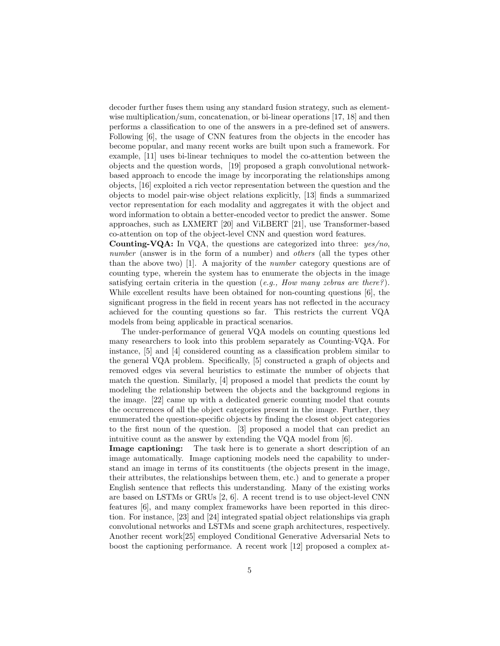decoder further fuses them using any standard fusion strategy, such as elementwise multiplication/sum, concatenation, or bi-linear operations [17, 18] and then performs a classification to one of the answers in a pre-defined set of answers. Following [6], the usage of CNN features from the objects in the encoder has become popular, and many recent works are built upon such a framework. For example, [11] uses bi-linear techniques to model the co-attention between the objects and the question words, [19] proposed a graph convolutional networkbased approach to encode the image by incorporating the relationships among objects, [16] exploited a rich vector representation between the question and the objects to model pair-wise object relations explicitly, [13] finds a summarized vector representation for each modality and aggregates it with the object and word information to obtain a better-encoded vector to predict the answer. Some approaches, such as LXMERT [20] and ViLBERT [21], use Transformer-based co-attention on top of the object-level CNN and question word features.

**Counting-VQA:** In VQA, the questions are categorized into three:  $yes/no$ , number (answer is in the form of a number) and *others* (all the types other than the above two) [1]. A majority of the number category questions are of counting type, wherein the system has to enumerate the objects in the image satisfying certain criteria in the question (e.g., How many zebras are there?). While excellent results have been obtained for non-counting questions [6], the significant progress in the field in recent years has not reflected in the accuracy achieved for the counting questions so far. This restricts the current VQA models from being applicable in practical scenarios.

The under-performance of general VQA models on counting questions led many researchers to look into this problem separately as Counting-VQA. For instance, [5] and [4] considered counting as a classification problem similar to the general VQA problem. Specifically, [5] constructed a graph of objects and removed edges via several heuristics to estimate the number of objects that match the question. Similarly, [4] proposed a model that predicts the count by modeling the relationship between the objects and the background regions in the image. [22] came up with a dedicated generic counting model that counts the occurrences of all the object categories present in the image. Further, they enumerated the question-specific objects by finding the closest object categories to the first noun of the question. [3] proposed a model that can predict an intuitive count as the answer by extending the VQA model from [6].

Image captioning: The task here is to generate a short description of an image automatically. Image captioning models need the capability to understand an image in terms of its constituents (the objects present in the image, their attributes, the relationships between them, etc.) and to generate a proper English sentence that reflects this understanding. Many of the existing works are based on LSTMs or GRUs [2, 6]. A recent trend is to use object-level CNN features [6], and many complex frameworks have been reported in this direction. For instance, [23] and [24] integrated spatial object relationships via graph convolutional networks and LSTMs and scene graph architectures, respectively. Another recent work[25] employed Conditional Generative Adversarial Nets to boost the captioning performance. A recent work [12] proposed a complex at-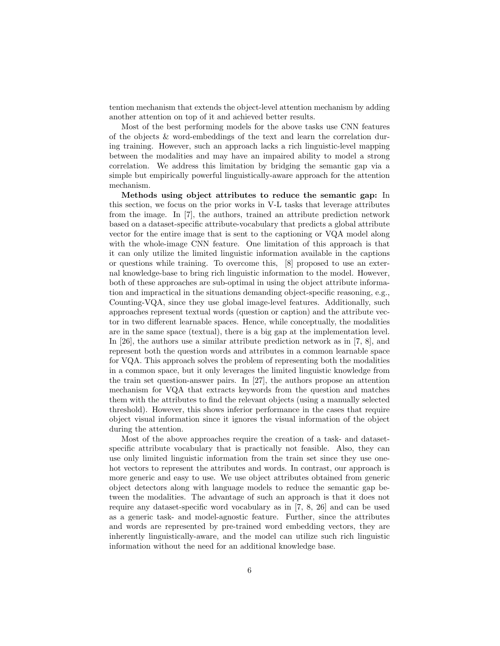tention mechanism that extends the object-level attention mechanism by adding another attention on top of it and achieved better results.

Most of the best performing models for the above tasks use CNN features of the objects & word-embeddings of the text and learn the correlation during training. However, such an approach lacks a rich linguistic-level mapping between the modalities and may have an impaired ability to model a strong correlation. We address this limitation by bridging the semantic gap via a simple but empirically powerful linguistically-aware approach for the attention mechanism.

Methods using object attributes to reduce the semantic gap: In this section, we focus on the prior works in V-L tasks that leverage attributes from the image. In [7], the authors, trained an attribute prediction network based on a dataset-specific attribute-vocabulary that predicts a global attribute vector for the entire image that is sent to the captioning or VQA model along with the whole-image CNN feature. One limitation of this approach is that it can only utilize the limited linguistic information available in the captions or questions while training. To overcome this, [8] proposed to use an external knowledge-base to bring rich linguistic information to the model. However, both of these approaches are sub-optimal in using the object attribute information and impractical in the situations demanding object-specific reasoning, e.g., Counting-VQA, since they use global image-level features. Additionally, such approaches represent textual words (question or caption) and the attribute vector in two different learnable spaces. Hence, while conceptually, the modalities are in the same space (textual), there is a big gap at the implementation level. In [26], the authors use a similar attribute prediction network as in [7, 8], and represent both the question words and attributes in a common learnable space for VQA. This approach solves the problem of representing both the modalities in a common space, but it only leverages the limited linguistic knowledge from the train set question-answer pairs. In [27], the authors propose an attention mechanism for VQA that extracts keywords from the question and matches them with the attributes to find the relevant objects (using a manually selected threshold). However, this shows inferior performance in the cases that require object visual information since it ignores the visual information of the object during the attention.

Most of the above approaches require the creation of a task- and datasetspecific attribute vocabulary that is practically not feasible. Also, they can use only limited linguistic information from the train set since they use onehot vectors to represent the attributes and words. In contrast, our approach is more generic and easy to use. We use object attributes obtained from generic object detectors along with language models to reduce the semantic gap between the modalities. The advantage of such an approach is that it does not require any dataset-specific word vocabulary as in [7, 8, 26] and can be used as a generic task- and model-agnostic feature. Further, since the attributes and words are represented by pre-trained word embedding vectors, they are inherently linguistically-aware, and the model can utilize such rich linguistic information without the need for an additional knowledge base.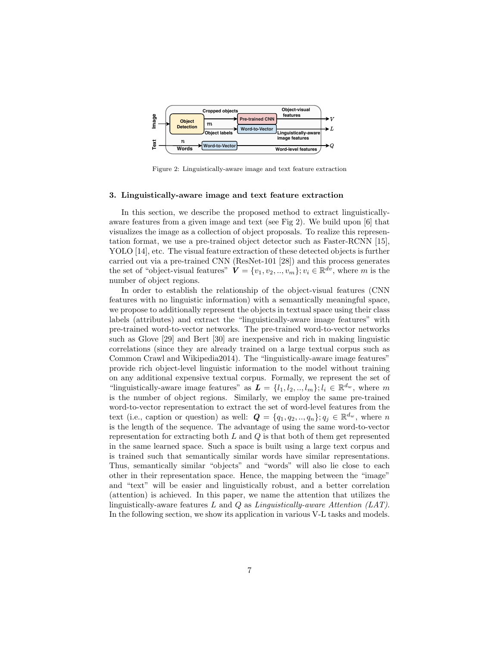

Figure 2: Linguistically-aware image and text feature extraction

#### 3. Linguistically-aware image and text feature extraction

In this section, we describe the proposed method to extract linguisticallyaware features from a given image and text (see Fig 2). We build upon [6] that visualizes the image as a collection of object proposals. To realize this representation format, we use a pre-trained object detector such as Faster-RCNN [15], YOLO [14], etc. The visual feature extraction of these detected objects is further carried out via a pre-trained CNN (ResNet-101 [28]) and this process generates the set of "object-visual features"  $\mathbf{V} = \{v_1, v_2, ..., v_m\}; v_i \in \mathbb{R}^{\overline{dv}}$ , where m is the number of object regions.

In order to establish the relationship of the object-visual features (CNN features with no linguistic information) with a semantically meaningful space, we propose to additionally represent the objects in textual space using their class labels (attributes) and extract the "linguistically-aware image features" with pre-trained word-to-vector networks. The pre-trained word-to-vector networks such as Glove [29] and Bert [30] are inexpensive and rich in making linguistic correlations (since they are already trained on a large textual corpus such as Common Crawl and Wikipedia2014). The "linguistically-aware image features" provide rich object-level linguistic information to the model without training on any additional expensive textual corpus. Formally, we represent the set of "linguistically-aware image features" as  $\boldsymbol{L} = \{l_1, l_2, ..., l_m\}; l_i \in \mathbb{R}^{d_w}$ , where m is the number of object regions. Similarly, we employ the same pre-trained word-to-vector representation to extract the set of word-level features from the text (i.e., caption or question) as well:  $\mathbf{Q} = \{q_1, q_2, ..., q_n\}; q_j \in \mathbb{R}^{d_w}$ , where n is the length of the sequence. The advantage of using the same word-to-vector representation for extracting both  $L$  and  $Q$  is that both of them get represented in the same learned space. Such a space is built using a large text corpus and is trained such that semantically similar words have similar representations. Thus, semantically similar "objects" and "words" will also lie close to each other in their representation space. Hence, the mapping between the "image" and "text" will be easier and linguistically robust, and a better correlation (attention) is achieved. In this paper, we name the attention that utilizes the linguistically-aware features L and Q as Linguistically-aware Attention  $(LAT)$ . In the following section, we show its application in various V-L tasks and models.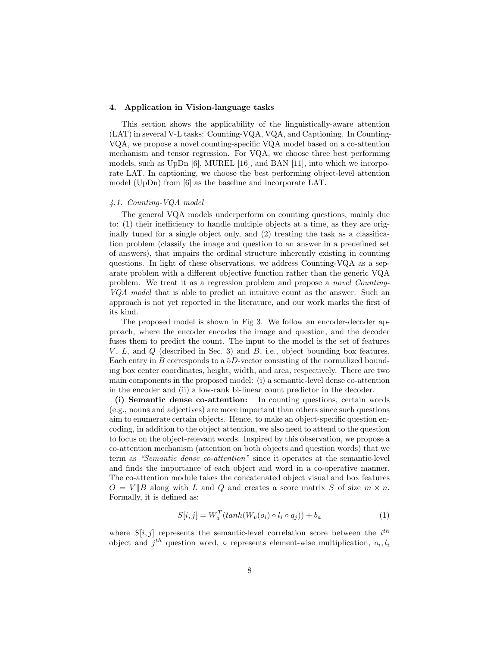#### 4. Application in Vision-language tasks

This section shows the applicability of the linguistically-aware attention (LAT) in several V-L tasks: Counting-VQA, VQA, and Captioning. In Counting-VQA, we propose a novel counting-specific VQA model based on a co-attention mechanism and tensor regression. For VQA, we choose three best performing models, such as UpDn [6], MUREL [16], and BAN [11], into which we incorporate LAT. In captioning, we choose the best performing object-level attention model (UpDn) from [6] as the baseline and incorporate LAT.

# 4.1. Counting-VQA model

The general VQA models underperform on counting questions, mainly due to: (1) their inefficiency to handle multiple objects at a time, as they are originally tuned for a single object only, and (2) treating the task as a classification problem (classify the image and question to an answer in a predefined set of answers), that impairs the ordinal structure inherently existing in counting questions. In light of these observations, we address Counting-VQA as a separate problem with a different objective function rather than the generic VQA problem. We treat it as a regression problem and propose a novel Counting-VQA model that is able to predict an intuitive count as the answer. Such an approach is not yet reported in the literature, and our work marks the first of its kind.

The proposed model is shown in Fig 3. We follow an encoder-decoder approach, where the encoder encodes the image and question, and the decoder fuses them to predict the count. The input to the model is the set of features V, L, and Q (described in Sec. 3) and  $B$ , i.e., object bounding box features. Each entry in B corresponds to a 5D-vector consisting of the normalized bounding box center coordinates, height, width, and area, respectively. There are two main components in the proposed model: (i) a semantic-level dense co-attention in the encoder and (ii) a low-rank bi-linear count predictor in the decoder.

(i) Semantic dense co-attention: In counting questions, certain words (e.g., nouns and adjectives) are more important than others since such questions aim to enumerate certain objects. Hence, to make an object-specific question encoding, in addition to the object attention, we also need to attend to the question to focus on the object-relevant words. Inspired by this observation, we propose a co-attention mechanism (attention on both objects and question words) that we term as "Semantic dense co-attention" since it operates at the semantic-level and finds the importance of each object and word in a co-operative manner. The co-attention module takes the concatenated object visual and box features  $O = V||B$  along with L and Q and creates a score matrix S of size  $m \times n$ . Formally, it is defined as:

$$
S[i,j] = W_a^T(tanh(W_v(o_i) \circ l_i \circ q_j)) + b_a \tag{1}
$$

where  $S[i, j]$  represents the semantic-level correlation score between the  $i^{th}$ object and  $j^{th}$  question word,  $\circ$  represents element-wise multiplication,  $o_i, l_i$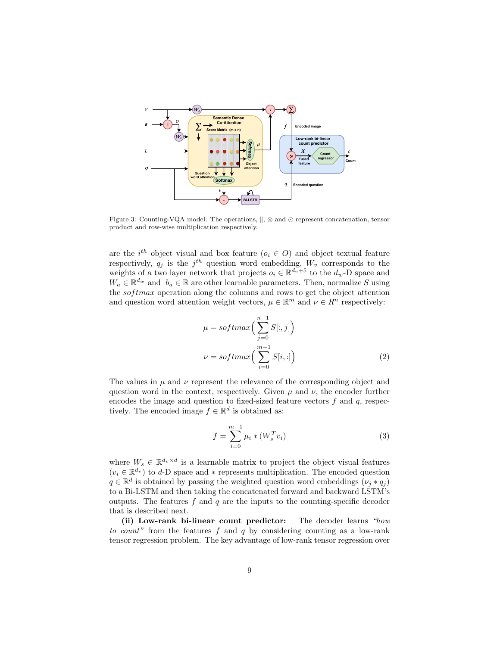

Figure 3: Counting-VQA model: The operations,  $\parallel$ , ⊗ and ⊙ represent concatenation, tensor product and row-wise multiplication respectively.

are the  $i^{th}$  object visual and box feature  $(o_i \in O)$  and object textual feature respectively,  $q_j$  is the  $j<sup>th</sup>$  question word embedding,  $W_v$  corresponds to the weights of a two layer network that projects  $o_i \in \mathbb{R}^{d_v+5}$  to the  $d_w$ -D space and  $W_a \in \mathbb{R}^{d_w}$  and  $b_a \in \mathbb{R}$  are other learnable parameters. Then, normalize S using the  $softmax$  operation along the columns and rows to get the object attention and question word attention weight vectors,  $\mu \in \mathbb{R}^m$  and  $\nu \in R^n$  respectively:

$$
\mu = softmax\left(\sum_{j=0}^{n-1} S[:, j]\right)
$$

$$
\nu = softmax\left(\sum_{i=0}^{m-1} S[i, :] \right)
$$
(2)

The values in  $\mu$  and  $\nu$  represent the relevance of the corresponding object and question word in the context, respectively. Given  $\mu$  and  $\nu$ , the encoder further encodes the image and question to fixed-sized feature vectors  $f$  and  $q$ , respectively. The encoded image  $f \in \mathbb{R}^d$  is obtained as:

$$
f = \sum_{i=0}^{m-1} \mu_i * (W_s^T v_i)
$$
 (3)

where  $W_s \in \mathbb{R}^{d_v \times d}$  is a learnable matrix to project the object visual features  $(v_i \in \mathbb{R}^{d_v})$  to d-D space and  $*$  represents multiplication. The encoded question  $q \in \mathbb{R}^d$  is obtained by passing the weighted question word embeddings  $(\nu_j * q_j)$ to a Bi-LSTM and then taking the concatenated forward and backward LSTM's outputs. The features f and q are the inputs to the counting-specific decoder that is described next.

(ii) Low-rank bi-linear count predictor: The decoder learns "how to count" from the features  $f$  and  $q$  by considering counting as a low-rank tensor regression problem. The key advantage of low-rank tensor regression over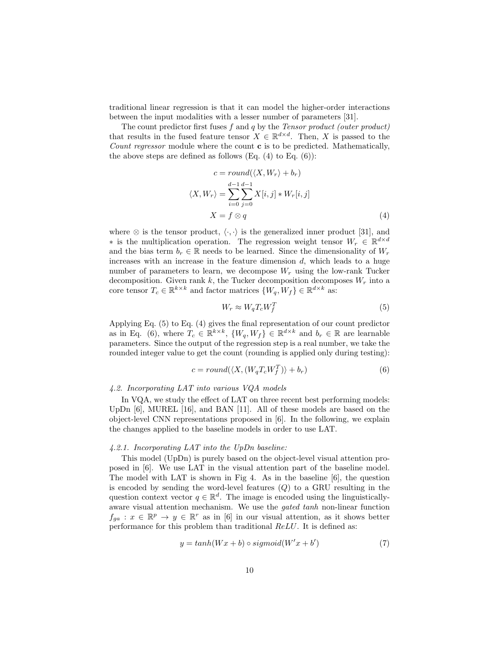traditional linear regression is that it can model the higher-order interactions between the input modalities with a lesser number of parameters [31].

The count predictor first fuses f and q by the Tensor product (outer product) that results in the fused feature tensor  $X \in \mathbb{R}^{d \times d}$ . Then, X is passed to the Count regressor module where the count  $c$  is to be predicted. Mathematically, the above steps are defined as follows  $(Eq. (4)$  to Eq.  $(6)$ :

$$
c = round(\langle X, W_r \rangle + b_r)
$$
  

$$
\langle X, W_r \rangle = \sum_{i=0}^{d-1} \sum_{j=0}^{d-1} X[i, j] * W_r[i, j]
$$
  

$$
X = f \otimes q
$$
 (4)

where  $\otimes$  is the tensor product,  $\langle \cdot, \cdot \rangle$  is the generalized inner product [31], and ∗ is the multiplication operation. The regression weight tensor  $W_r \in \mathbb{R}^{d \times d}$ and the bias term  $b_r \in \mathbb{R}$  needs to be learned. Since the dimensionality of  $W_r$ increases with an increase in the feature dimension  $d$ , which leads to a huge number of parameters to learn, we decompose  $W_r$  using the low-rank Tucker decomposition. Given rank k, the Tucker decomposition decomposes  $W_r$  into a core tensor  $T_c \in \mathbb{R}^{k \times k}$  and factor matrices  $\{W_q, W_f\} \in \mathbb{R}^{d \times k}$  as:

$$
W_r \approx W_q T_c W_f^T \tag{5}
$$

Applying Eq. (5) to Eq. (4) gives the final representation of our count predictor as in Eq. (6), where  $T_c \in \mathbb{R}^{k \times k}$ ,  $\{W_q, W_f\} \in \mathbb{R}^{d \times k}$  and  $b_r \in \mathbb{R}$  are learnable parameters. Since the output of the regression step is a real number, we take the rounded integer value to get the count (rounding is applied only during testing):

$$
c = round(\langle X, (W_q T_c W_f^T) \rangle + b_r)
$$
\n<sup>(6)</sup>

#### 4.2. Incorporating LAT into various VQA models

In VQA, we study the effect of LAT on three recent best performing models: UpDn [6], MUREL [16], and BAN [11]. All of these models are based on the object-level CNN representations proposed in [6]. In the following, we explain the changes applied to the baseline models in order to use LAT.

#### 4.2.1. Incorporating LAT into the UpDn baseline:

This model (UpDn) is purely based on the object-level visual attention proposed in [6]. We use LAT in the visual attention part of the baseline model. The model with LAT is shown in Fig 4. As in the baseline [6], the question is encoded by sending the word-level features  $(Q)$  to a GRU resulting in the question context vector  $q \in \mathbb{R}^d$ . The image is encoded using the linguisticallyaware visual attention mechanism. We use the gated tanh non-linear function  $f_{ga}: x \in \mathbb{R}^p \to y \in \mathbb{R}^r$  as in [6] in our visual attention, as it shows better performance for this problem than traditional ReLU. It is defined as:

$$
y = tanh(Wx + b) \circ sigmoid(W'x + b') \tag{7}
$$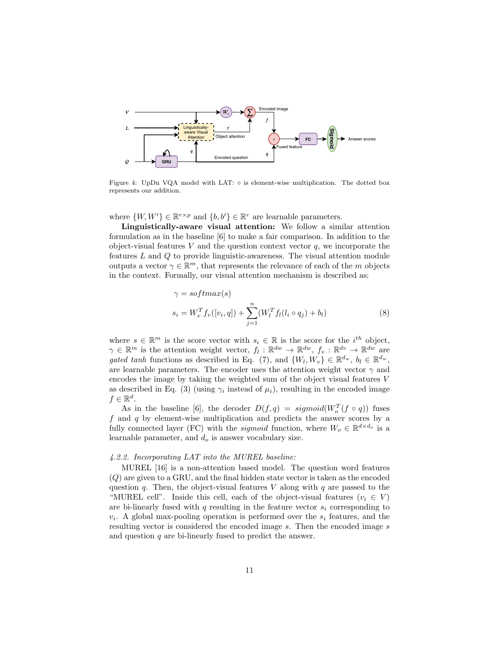

Figure 4: UpDn VQA model with LAT:  $\circ$  is element-wise multiplication. The dotted box represents our addition.

where  $\{W, W'\} \in \mathbb{R}^{r \times p}$  and  $\{b, b'\} \in \mathbb{R}^r$  are learnable parameters.

Linguistically-aware visual attention: We follow a similar attention formulation as in the baseline [6] to make a fair comparison. In addition to the object-visual features  $V$  and the question context vector  $q$ , we incorporate the features L and Q to provide linguistic-awareness. The visual attention module outputs a vector  $\gamma \in \mathbb{R}^m$ , that represents the relevance of each of the m objects in the context. Formally, our visual attention mechanism is described as:

$$
\gamma = softmax(s)
$$
  
\n
$$
s_i = W_v^T f_v([v_i, q]) + \sum_{j=1}^n (W_l^T f_l(l_i \circ q_j) + b_l)
$$
\n(8)

where  $s \in \mathbb{R}^m$  is the score vector with  $s_i \in \mathbb{R}$  is the score for the  $i^{th}$  object,  $\gamma \in \mathbb{R}^m$  is the attention weight vector,  $f_l : \mathbb{R}^{dw} \to \mathbb{R}^{dw}$ ,  $f_v : \mathbb{R}^{dv} \to \mathbb{R}^{dw}$  are gated tanh functions as described in Eq. (7), and  $\{W_l, W_v\} \in \mathbb{R}^{d_w}$ ,  $b_l \in \mathbb{R}^{d_w}$ , are learnable parameters. The encoder uses the attention weight vector  $\gamma$  and encodes the image by taking the weighted sum of the object visual features V as described in Eq. (3) (using  $\gamma_i$  instead of  $\mu_i$ ), resulting in the encoded image  $f \in \mathbb{R}^d$ .

As in the baseline [6], the decoder  $D(f,q) = sigmoid(W_o^T(f \circ q))$  fuses f and  $q$  by element-wise multiplication and predicts the answer scores by a fully connected layer (FC) with the *sigmoid* function, where  $W_o \in \mathbb{R}^{d \times d_o}$  is a learnable parameter, and  $d_o$  is answer vocabulary size.

## 4.2.2. Incorporating LAT into the MUREL baseline:

MUREL [16] is a non-attention based model. The question word features  $(Q)$  are given to a GRU, and the final hidden state vector is taken as the encoded question q. Then, the object-visual features V along with  $q$  are passed to the "MUREL cell". Inside this cell, each of the object-visual features  $(v_i \in V)$ are bi-linearly fused with  $q$  resulting in the feature vector  $s_i$  corresponding to  $v_i$ . A global max-pooling operation is performed over the  $s_i$  features, and the resulting vector is considered the encoded image s. Then the encoded image s and question  $q$  are bi-linearly fused to predict the answer.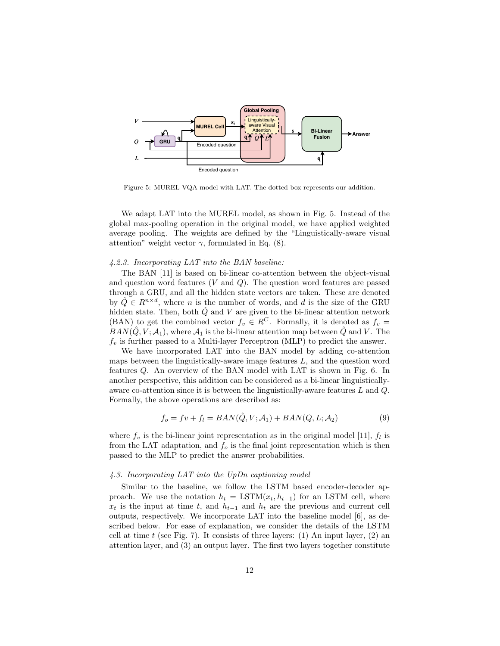

Figure 5: MUREL VQA model with LAT. The dotted box represents our addition.

We adapt LAT into the MUREL model, as shown in Fig. 5. Instead of the global max-pooling operation in the original model, we have applied weighted average pooling. The weights are defined by the "Linguistically-aware visual attention" weight vector  $\gamma$ , formulated in Eq. (8).

#### 4.2.3. Incorporating LAT into the BAN baseline:

The BAN [11] is based on bi-linear co-attention between the object-visual and question word features  $(V \text{ and } Q)$ . The question word features are passed through a GRU, and all the hidden state vectors are taken. These are denoted by  $\hat{Q} \in R^{n \times d}$ , where *n* is the number of words, and *d* is the size of the GRU hidden state. Then, both  $\hat{Q}$  and V are given to the bi-linear attention network (BAN) to get the combined vector  $f_v \in R^C$ . Formally, it is denoted as  $f_v =$  $BAN(\hat{Q}, V; \mathcal{A}_1)$ , where  $\mathcal{A}_1$  is the bi-linear attention map between  $\hat{Q}$  and V. The  $f_v$  is further passed to a Multi-layer Perceptron (MLP) to predict the answer.

We have incorporated LAT into the BAN model by adding co-attention maps between the linguistically-aware image features L, and the question word features Q. An overview of the BAN model with LAT is shown in Fig. 6. In another perspective, this addition can be considered as a bi-linear linguisticallyaware co-attention since it is between the linguistically-aware features L and Q. Formally, the above operations are described as:

$$
f_o = fv + f_l = BAN(\hat{Q}, V; \mathcal{A}_1) + BAN(Q, L; \mathcal{A}_2)
$$
\n(9)

where  $f_v$  is the bi-linear joint representation as in the original model [11],  $f_l$  is from the LAT adaptation, and  $f<sub>o</sub>$  is the final joint representation which is then passed to the MLP to predict the answer probabilities.

#### 4.3. Incorporating LAT into the UpDn captioning model

Similar to the baseline, we follow the LSTM based encoder-decoder approach. We use the notation  $h_t = \text{LSTM}(x_t, h_{t-1})$  for an LSTM cell, where  $x_t$  is the input at time t, and  $h_{t-1}$  and  $h_t$  are the previous and current cell outputs, respectively. We incorporate LAT into the baseline model [6], as described below. For ease of explanation, we consider the details of the LSTM cell at time t (see Fig. 7). It consists of three layers:  $(1)$  An input layer,  $(2)$  an attention layer, and (3) an output layer. The first two layers together constitute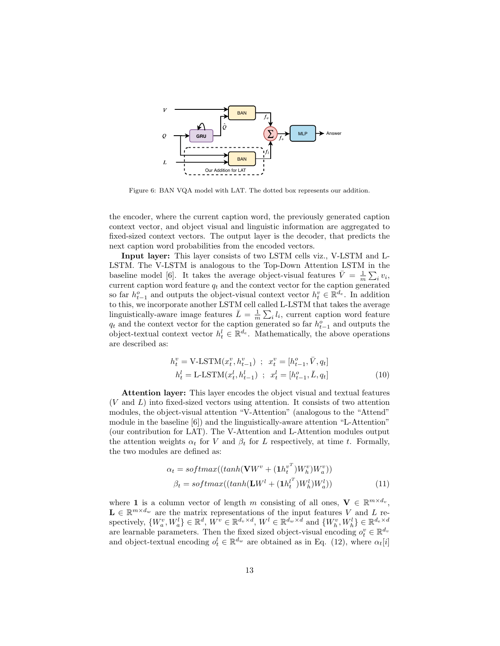

Figure 6: BAN VQA model with LAT. The dotted box represents our addition.

the encoder, where the current caption word, the previously generated caption context vector, and object visual and linguistic information are aggregated to fixed-sized context vectors. The output layer is the decoder, that predicts the next caption word probabilities from the encoded vectors.

Input layer: This layer consists of two LSTM cells viz., V-LSTM and L-LSTM. The V-LSTM is analogous to the Top-Down Attention LSTM in the baseline model [6]. It takes the average object-visual features  $\bar{V} = \frac{1}{m} \sum_i v_i$ , current caption word feature  $q_t$  and the context vector for the caption generated so far  $h_{t-1}^o$  and outputs the object-visual context vector  $h_t^v \in \mathbb{R}^{d_e}$ . In addition to this, we incorporate another LSTM cell called L-LSTM that takes the average linguistically-aware image features  $\bar{L} = \frac{1}{m} \sum_i l_i$ , current caption word feature  $q_t$  and the context vector for the caption generated so far  $h_{t-1}^o$  and outputs the object-textual context vector  $h_t^l \in \mathbb{R}^{d_e}$ . Mathematically, the above operations are described as:

$$
h_t^v = \text{V-LSTM}(x_t^v, h_{t-1}^v) \; ; \; x_t^v = [h_{t-1}^o, \bar{V}, q_t] h_t^l = \text{L-LSTM}(x_t^l, h_{t-1}^l) \; ; \; x_t^l = [h_{t-1}^o, \bar{L}, q_t]
$$
 (10)

Attention layer: This layer encodes the object visual and textual features  $(V \text{ and } L)$  into fixed-sized vectors using attention. It consists of two attention modules, the object-visual attention "V-Attention" (analogous to the "Attend" module in the baseline [6]) and the linguistically-aware attention "L-Attention" (our contribution for LAT). The V-Attention and L-Attention modules output the attention weights  $\alpha_t$  for V and  $\beta_t$  for L respectively, at time t. Formally, the two modules are defined as:

$$
\alpha_t = softmax((tanh(\mathbf{V}W^v + (\mathbf{1}h_t^{v^T})W_h^v)W_a^v))
$$
  

$$
\beta_t = softmax((tanh(\mathbf{L}W^l + (\mathbf{1}h_t^{l^T})W_h^l)W_a^l))
$$
 (11)

where **1** is a column vector of length m consisting of all ones,  $\mathbf{V} \in \mathbb{R}^{m \times d_v}$ ,  $\mathbf{L} \in \mathbb{R}^{m \times d_w}$  are the matrix representations of the input features V and L respectively,  $\{W_a^v, W_a^l\} \in \mathbb{R}^d$ ,  $W^v \in \mathbb{R}^{d_v \times d}$ ,  $W^l \in \mathbb{R}^{d_w \times d}$  and  $\{W_h^v, W_h^l\} \in \mathbb{R}^{d_e \times d}$ are learnable parameters. Then the fixed sized object-visual encoding  $o_t^v \in \mathbb{R}^{d_v}$ and object-textual encoding  $o_t^l \in \mathbb{R}^{d_w}$  are obtained as in Eq. (12), where  $\alpha_t[i]$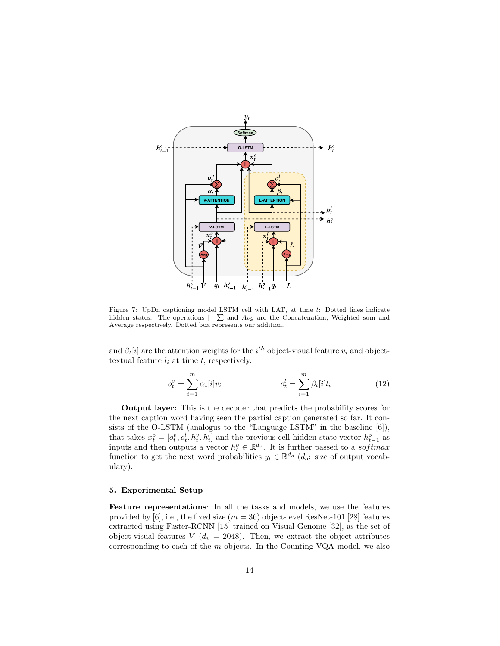

Figure 7: UpDn captioning model LSTM cell with LAT, at time t: Dotted lines indicate hidden states. The operations  $\parallel$ ,  $\sum$  and Avg are the Concatenation, Weighted sum and Average respectively. Dotted box represents our addition.

and  $\beta_t[i]$  are the attention weights for the  $i^{th}$  object-visual feature  $v_i$  and objecttextual feature  $l_i$  at time  $t$ , respectively.

$$
o_t^v = \sum_{i=1}^m \alpha_t[i]v_i \qquad o_t^l = \sum_{i=1}^m \beta_t[i]l_i \qquad (12)
$$

Output layer: This is the decoder that predicts the probability scores for the next caption word having seen the partial caption generated so far. It consists of the O-LSTM (analogus to the "Language LSTM" in the baseline [6]), that takes  $x_t^o = [o_t^v, o_t^l, h_t^v, h_t^l]$  and the previous cell hidden state vector  $h_{t-1}^o$  as inputs and then outputs a vector  $h_t^o \in \mathbb{R}^{d_o}$ . It is further passed to a softmax function to get the next word probabilities  $y_t \in \mathbb{R}^{d_o}$  ( $d_o$ : size of output vocabulary).

#### 5. Experimental Setup

Feature representations: In all the tasks and models, we use the features provided by [6], i.e., the fixed size  $(m = 36)$  object-level ResNet-101 [28] features extracted using Faster-RCNN [15] trained on Visual Genome [32], as the set of object-visual features  $V$  ( $d_v = 2048$ ). Then, we extract the object attributes corresponding to each of the m objects. In the Counting-VQA model, we also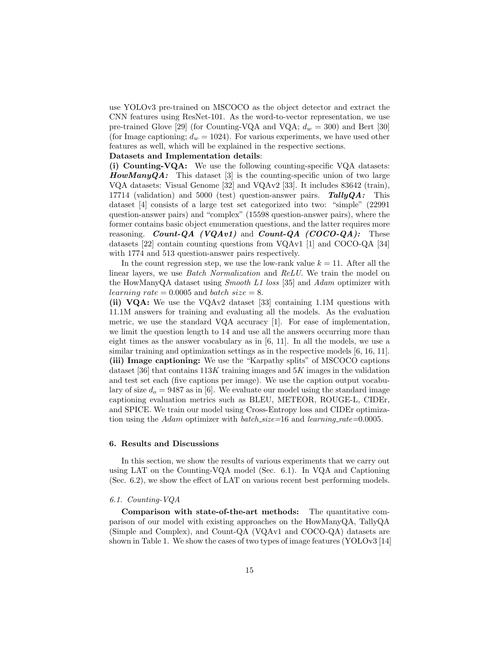use YOLOv3 pre-trained on MSCOCO as the object detector and extract the CNN features using ResNet-101. As the word-to-vector representation, we use pre-trained Glove [29] (for Counting-VQA and VQA;  $d_w = 300$ ) and Bert [30] (for Image captioning;  $d_w = 1024$ ). For various experiments, we have used other features as well, which will be explained in the respective sections.

## Datasets and Implementation details:

(i) Counting-VQA: We use the following counting-specific VQA datasets: **HowManyQA:** This dataset [3] is the counting-specific union of two large VQA datasets: Visual Genome [32] and VQAv2 [33]. It includes 83642 (train), 17714 (validation) and 5000 (test) question-answer pairs. **TallyQA:** This dataset [4] consists of a large test set categorized into two: "simple" (22991 question-answer pairs) and "complex" (15598 question-answer pairs), where the former contains basic object enumeration questions, and the latter requires more reasoning. Count-QA (VQAv1) and Count-QA (COCO-QA): These datasets [22] contain counting questions from VQAv1 [1] and COCO-QA [34] with 1774 and 513 question-answer pairs respectively.

In the count regression step, we use the low-rank value  $k = 11$ . After all the linear layers, we use Batch Normalization and ReLU. We train the model on the HowManyQA dataset using Smooth L1 loss [35] and Adam optimizer with learning rate  $= 0.0005$  and batch size  $= 8$ .

(ii) VQA: We use the VQAv2 dataset [33] containing 1.1M questions with 11.1M answers for training and evaluating all the models. As the evaluation metric, we use the standard VQA accuracy [1]. For ease of implementation, we limit the question length to 14 and use all the answers occurring more than eight times as the answer vocabulary as in [6, 11]. In all the models, we use a similar training and optimization settings as in the respective models [6, 16, 11]. (iii) Image captioning: We use the "Karpathy splits" of MSCOCO captions dataset [36] that contains  $113K$  training images and  $5K$  images in the validation and test set each (five captions per image). We use the caption output vocabulary of size  $d_o = 9487$  as in [6]. We evaluate our model using the standard image captioning evaluation metrics such as BLEU, METEOR, ROUGE-L, CIDEr, and SPICE. We train our model using Cross-Entropy loss and CIDEr optimization using the Adam optimizer with batch size=16 and learning rate=0.0005.

# 6. Results and Discussions

In this section, we show the results of various experiments that we carry out using LAT on the Counting-VQA model (Sec. 6.1). In VQA and Captioning (Sec. 6.2), we show the effect of LAT on various recent best performing models.

#### 6.1. Counting-VQA

Comparison with state-of-the-art methods: The quantitative comparison of our model with existing approaches on the HowManyQA, TallyQA (Simple and Complex), and Count-QA (VQAv1 and COCO-QA) datasets are shown in Table 1. We show the cases of two types of image features (YOLOv3 [14]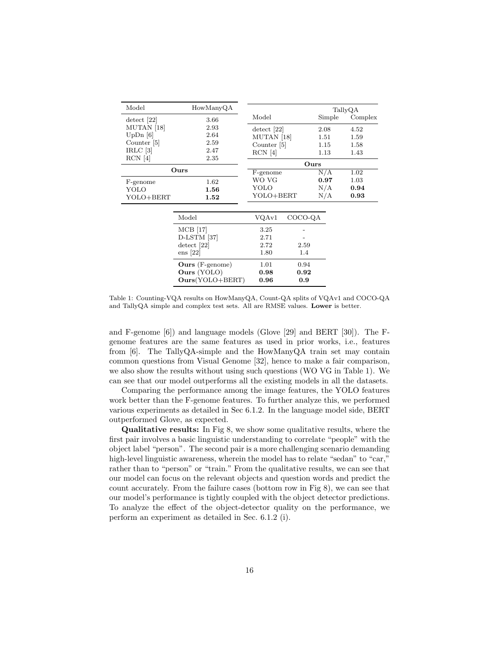| Model                 | HowManyQA            |                       |         |        | TallyQA |
|-----------------------|----------------------|-----------------------|---------|--------|---------|
| $\text{detect}$ [22]  | 3.66                 | Model                 |         | Simple | Complex |
| MUTAN <sup>[18]</sup> | 2.93                 | $\text{detect}$ [22]  |         | 2.08   | 4.52    |
| $UpDn$ [6]            | 2.64                 | MUTAN <sup>[18]</sup> |         | 1.51   | 1.59    |
| Counter $[5]$         | 2.59                 | Counter [5]           |         | 1.15   | 1.58    |
| $IRLC$ [3]            | 2.47                 | RCN [4]               |         | 1.13   | 1.43    |
| RCN [4]               | 2.35                 |                       |         |        |         |
| Ours                  |                      | Ours                  |         |        |         |
|                       |                      | F-genome              |         | N/A    | 1.02    |
| F-genome              | 1.62                 | WO VG                 |         | 0.97   | 1.03    |
| YOLO                  | 1.56                 | YOLO                  |         | N/A    | 0.94    |
| YOLO+BERT             | 1.52                 | YOLO+BERT             |         | N/A    | 0.93    |
|                       |                      |                       |         |        |         |
|                       | Model                | VQAv1                 | COCO-QA |        |         |
|                       | MCB [17]             | 3.25                  |         |        |         |
|                       | $D$ -LSTM [37]       | 2.71                  |         |        |         |
|                       | $\text{detect}$ [22] | 2.72                  | 2.59    |        |         |
|                       | $ens$ [22]           | 1.80                  | 1.4     |        |         |
|                       | $Ours$ (F-genome)    | 1.01                  | 0.94    |        |         |
|                       | Ours (YOLO)          | 0.98                  | 0.92    |        |         |
|                       | $Ours(YOLO + BERT)$  | 0.96                  | 0.9     |        |         |
|                       |                      |                       |         |        |         |

Table 1: Counting-VQA results on HowManyQA, Count-QA splits of VQAv1 and COCO-QA and TallyQA simple and complex test sets. All are RMSE values. Lower is better.

and F-genome [6]) and language models (Glove [29] and BERT [30]). The Fgenome features are the same features as used in prior works, i.e., features from [6]. The TallyQA-simple and the HowManyQA train set may contain common questions from Visual Genome [32], hence to make a fair comparison, we also show the results without using such questions (WO VG in Table 1). We can see that our model outperforms all the existing models in all the datasets.

Comparing the performance among the image features, the YOLO features work better than the F-genome features. To further analyze this, we performed various experiments as detailed in Sec 6.1.2. In the language model side, BERT outperformed Glove, as expected.

Qualitative results: In Fig 8, we show some qualitative results, where the first pair involves a basic linguistic understanding to correlate "people" with the object label "person". The second pair is a more challenging scenario demanding high-level linguistic awareness, wherein the model has to relate "sedan" to "car," rather than to "person" or "train." From the qualitative results, we can see that our model can focus on the relevant objects and question words and predict the count accurately. From the failure cases (bottom row in Fig 8), we can see that our model's performance is tightly coupled with the object detector predictions. To analyze the effect of the object-detector quality on the performance, we perform an experiment as detailed in Sec. 6.1.2 (i).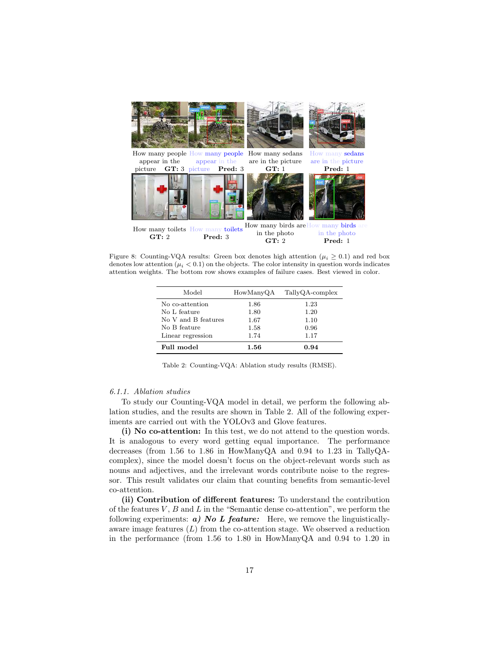

Figure 8: Counting-VQA results: Green box denotes high attention ( $\mu_i \geq 0.1$ ) and red box denotes low attention ( $\mu_i < 0.1$ ) on the objects. The color intensity in question words indicates attention weights. The bottom row shows examples of failure cases. Best viewed in color.

| Model               | HowManyQA | TallyQA-complex |  |
|---------------------|-----------|-----------------|--|
| No co-attention     | 1.86      | 1.23            |  |
| No L feature        | 1.80      | 1.20            |  |
| No V and B features | 1.67      | 1.10            |  |
| No B feature        | 1.58      | 0.96            |  |
| Linear regression   | 1.74      | 1.17            |  |
| Full model          | 1.56      | 0.94            |  |

Table 2: Counting-VQA: Ablation study results (RMSE).

#### 6.1.1. Ablation studies

To study our Counting-VQA model in detail, we perform the following ablation studies, and the results are shown in Table 2. All of the following experiments are carried out with the YOLOv3 and Glove features.

(i) No co-attention: In this test, we do not attend to the question words. It is analogous to every word getting equal importance. The performance decreases (from 1.56 to 1.86 in HowManyQA and 0.94 to 1.23 in TallyQAcomplex), since the model doesn't focus on the object-relevant words such as nouns and adjectives, and the irrelevant words contribute noise to the regressor. This result validates our claim that counting benefits from semantic-level co-attention.

(ii) Contribution of different features: To understand the contribution of the features  $V, B$  and  $L$  in the "Semantic dense co-attention", we perform the following experiments: **a**) No L feature: Here, we remove the linguisticallyaware image features  $(L)$  from the co-attention stage. We observed a reduction in the performance (from 1.56 to 1.80 in HowManyQA and 0.94 to 1.20 in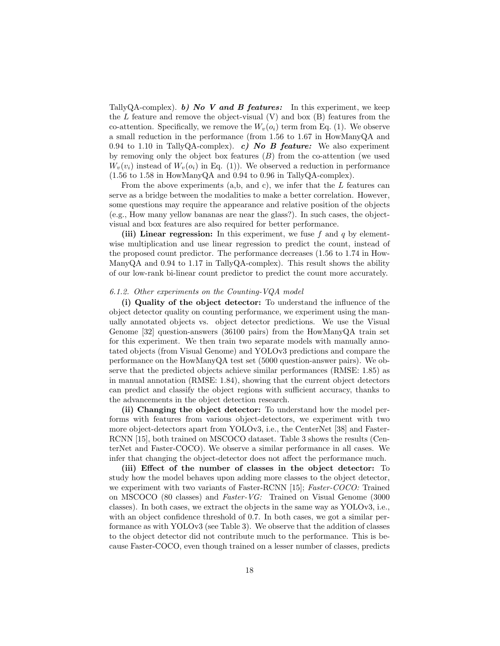TallyQA-complex). b) No V and B features: In this experiment, we keep the  $L$  feature and remove the object-visual  $(V)$  and box  $(B)$  features from the co-attention. Specifically, we remove the  $W_v(o_i)$  term from Eq. (1). We observe a small reduction in the performance (from 1.56 to 1.67 in HowManyQA and 0.94 to 1.10 in TallyQA-complex). c) No B feature: We also experiment by removing only the object box features  $(B)$  from the co-attention (we used  $W_v(v_i)$  instead of  $W_v(o_i)$  in Eq. (1)). We observed a reduction in performance (1.56 to 1.58 in HowManyQA and 0.94 to 0.96 in TallyQA-complex).

From the above experiments  $(a,b, and c)$ , we infer that the L features can serve as a bridge between the modalities to make a better correlation. However, some questions may require the appearance and relative position of the objects (e.g., How many yellow bananas are near the glass?). In such cases, the objectvisual and box features are also required for better performance.

(iii) Linear regression: In this experiment, we fuse f and q by elementwise multiplication and use linear regression to predict the count, instead of the proposed count predictor. The performance decreases (1.56 to 1.74 in How-ManyQA and 0.94 to 1.17 in TallyQA-complex). This result shows the ability of our low-rank bi-linear count predictor to predict the count more accurately.

#### 6.1.2. Other experiments on the Counting-VQA model

(i) Quality of the object detector: To understand the influence of the object detector quality on counting performance, we experiment using the manually annotated objects vs. object detector predictions. We use the Visual Genome [32] question-answers (36100 pairs) from the HowManyQA train set for this experiment. We then train two separate models with manually annotated objects (from Visual Genome) and YOLOv3 predictions and compare the performance on the HowManyQA test set (5000 question-answer pairs). We observe that the predicted objects achieve similar performances (RMSE: 1.85) as in manual annotation (RMSE: 1.84), showing that the current object detectors can predict and classify the object regions with sufficient accuracy, thanks to the advancements in the object detection research.

(ii) Changing the object detector: To understand how the model performs with features from various object-detectors, we experiment with two more object-detectors apart from YOLOv3, i.e., the CenterNet [38] and Faster-RCNN [15], both trained on MSCOCO dataset. Table 3 shows the results (CenterNet and Faster-COCO). We observe a similar performance in all cases. We infer that changing the object-detector does not affect the performance much.

(iii) Effect of the number of classes in the object detector: To study how the model behaves upon adding more classes to the object detector, we experiment with two variants of Faster-RCNN [15]; Faster-COCO: Trained on MSCOCO (80 classes) and Faster-VG: Trained on Visual Genome (3000 classes). In both cases, we extract the objects in the same way as YOLOv3, i.e., with an object confidence threshold of 0.7. In both cases, we got a similar performance as with YOLOv3 (see Table 3). We observe that the addition of classes to the object detector did not contribute much to the performance. This is because Faster-COCO, even though trained on a lesser number of classes, predicts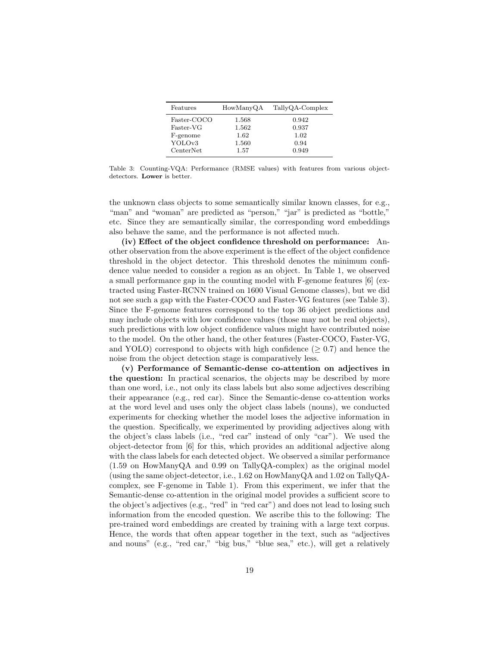| Features    | HowManyQA | TallyQA-Complex |  |  |
|-------------|-----------|-----------------|--|--|
| Faster-COCO | 1.568     | 0.942           |  |  |
| Faster-VG   | 1.562     | 0.937           |  |  |
| F-genome    | 1.62      | 1.02            |  |  |
| YOLOv3      | 1.560     | 0.94            |  |  |
| CenterNet   | 1.57      | 0.949           |  |  |

Table 3: Counting-VQA: Performance (RMSE values) with features from various objectdetectors. Lower is better.

the unknown class objects to some semantically similar known classes, for e.g., "man" and "woman" are predicted as "person," "jar" is predicted as "bottle," etc. Since they are semantically similar, the corresponding word embeddings also behave the same, and the performance is not affected much.

(iv) Effect of the object confidence threshold on performance: Another observation from the above experiment is the effect of the object confidence threshold in the object detector. This threshold denotes the minimum confidence value needed to consider a region as an object. In Table 1, we observed a small performance gap in the counting model with F-genome features [6] (extracted using Faster-RCNN trained on 1600 Visual Genome classes), but we did not see such a gap with the Faster-COCO and Faster-VG features (see Table 3). Since the F-genome features correspond to the top 36 object predictions and may include objects with low confidence values (those may not be real objects), such predictions with low object confidence values might have contributed noise to the model. On the other hand, the other features (Faster-COCO, Faster-VG, and YOLO) correspond to objects with high confidence  $(≥ 0.7)$  and hence the noise from the object detection stage is comparatively less.

(v) Performance of Semantic-dense co-attention on adjectives in the question: In practical scenarios, the objects may be described by more than one word, i.e., not only its class labels but also some adjectives describing their appearance (e.g., red car). Since the Semantic-dense co-attention works at the word level and uses only the object class labels (nouns), we conducted experiments for checking whether the model loses the adjective information in the question. Specifically, we experimented by providing adjectives along with the object's class labels (i.e., "red car" instead of only "car"). We used the object-detector from [6] for this, which provides an additional adjective along with the class labels for each detected object. We observed a similar performance (1.59 on HowManyQA and 0.99 on TallyQA-complex) as the original model (using the same object-detector, i.e., 1.62 on HowManyQA and 1.02 on TallyQAcomplex, see F-genome in Table 1). From this experiment, we infer that the Semantic-dense co-attention in the original model provides a sufficient score to the object's adjectives (e.g., "red" in "red car") and does not lead to losing such information from the encoded question. We ascribe this to the following: The pre-trained word embeddings are created by training with a large text corpus. Hence, the words that often appear together in the text, such as "adjectives and nouns" (e.g., "red car," "big bus," "blue sea," etc.), will get a relatively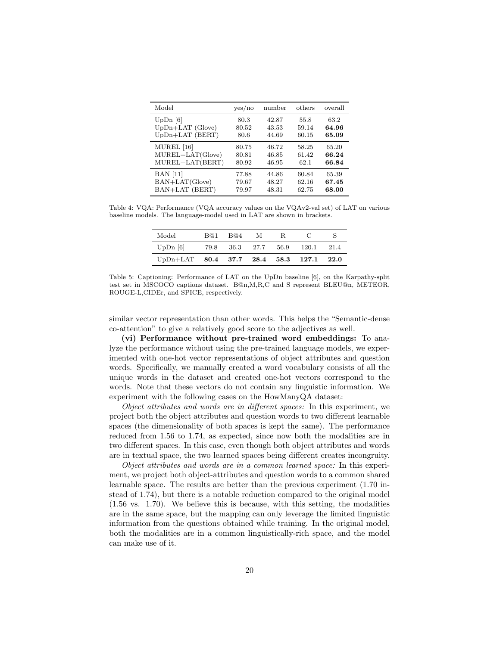| Model              | yes/no | number | others | overall |
|--------------------|--------|--------|--------|---------|
| $UpDn$ [6]         | 80.3   | 42.87  | 55.8   | 63.2    |
| $UpDn+LAT$ (Glove) | 80.52  | 43.53  | 59.14  | 64.96   |
| $UpDn+LAT$ (BERT)  | 80.6   | 44.69  | 60.15  | 65.09   |
| MUREL [16]         | 80.75  | 46.72  | 58.25  | 65.20   |
| $MUREL+LAT(Glove)$ | 80.81  | 46.85  | 61.42  | 66.24   |
| MUREL+LAT(BERT)    | 80.92  | 46.95  | 62.1   | 66.84   |
| <b>BAN</b> [11]    | 77.88  | 44.86  | 60.84  | 65.39   |
| BAN+LAT(Glove)     | 79.67  | 48.27  | 62.16  | 67.45   |
| BAN+LAT (BERT)     | 79.97  | 48.31  | 62.75  | 68.00   |

Table 4: VQA: Performance (VQA accuracy values on the VQAv2-val set) of LAT on various baseline models. The language-model used in LAT are shown in brackets.

| Model                     | B@1  | B@4  | М    | В      |       |      |
|---------------------------|------|------|------|--------|-------|------|
| Up $Dn$ [6]               | 79.8 | 36.3 | 27.7 | 56.9   | 120.1 | 21.4 |
| $UpDn+LAT$ 80.4 37.7 28.4 |      |      |      | - 58.3 | 127.1 | 22.0 |

Table 5: Captioning: Performance of LAT on the UpDn baseline [6], on the Karpathy-split test set in MSCOCO captions dataset. B@n,M,R,C and S represent BLEU@n, METEOR, ROUGE-L,CIDEr, and SPICE, respectively.

similar vector representation than other words. This helps the "Semantic-dense co-attention" to give a relatively good score to the adjectives as well.

(vi) Performance without pre-trained word embeddings: To analyze the performance without using the pre-trained language models, we experimented with one-hot vector representations of object attributes and question words. Specifically, we manually created a word vocabulary consists of all the unique words in the dataset and created one-hot vectors correspond to the words. Note that these vectors do not contain any linguistic information. We experiment with the following cases on the HowManyQA dataset:

Object attributes and words are in different spaces: In this experiment, we project both the object attributes and question words to two different learnable spaces (the dimensionality of both spaces is kept the same). The performance reduced from 1.56 to 1.74, as expected, since now both the modalities are in two different spaces. In this case, even though both object attributes and words are in textual space, the two learned spaces being different creates incongruity.

Object attributes and words are in a common learned space: In this experiment, we project both object-attributes and question words to a common shared learnable space. The results are better than the previous experiment (1.70 instead of 1.74), but there is a notable reduction compared to the original model (1.56 vs. 1.70). We believe this is because, with this setting, the modalities are in the same space, but the mapping can only leverage the limited linguistic information from the questions obtained while training. In the original model, both the modalities are in a common linguistically-rich space, and the model can make use of it.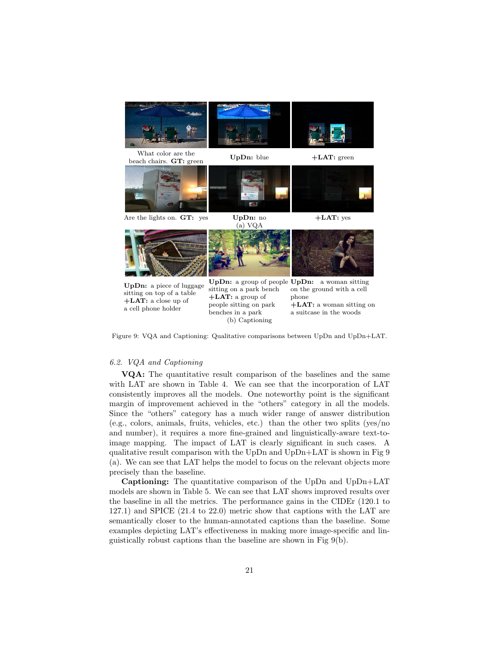

Figure 9: VQA and Captioning: Qualitative comparisons between UpDn and UpDn+LAT.

# 6.2. VQA and Captioning

VQA: The quantitative result comparison of the baselines and the same with LAT are shown in Table 4. We can see that the incorporation of LAT consistently improves all the models. One noteworthy point is the significant margin of improvement achieved in the "others" category in all the models. Since the "others" category has a much wider range of answer distribution  $(e.g., colors, animals, fruits, vehicles, etc.)$  than the other two splits  $(yes/no)$ and number), it requires a more fine-grained and linguistically-aware text-toimage mapping. The impact of LAT is clearly significant in such cases. A qualitative result comparison with the UpDn and UpDn+LAT is shown in Fig 9 (a). We can see that LAT helps the model to focus on the relevant objects more precisely than the baseline.

Captioning: The quantitative comparison of the UpDn and UpDn+LAT models are shown in Table 5. We can see that LAT shows improved results over the baseline in all the metrics. The performance gains in the CIDEr (120.1 to 127.1) and SPICE (21.4 to 22.0) metric show that captions with the LAT are semantically closer to the human-annotated captions than the baseline. Some examples depicting LAT's effectiveness in making more image-specific and linguistically robust captions than the baseline are shown in Fig 9(b).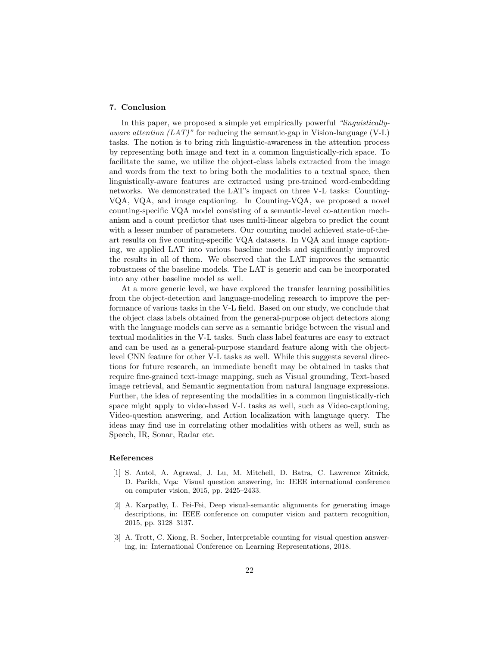## 7. Conclusion

In this paper, we proposed a simple yet empirically powerful "linguistically*aware attention*  $(LAT)$ " for reducing the semantic-gap in Vision-language (V-L) tasks. The notion is to bring rich linguistic-awareness in the attention process by representing both image and text in a common linguistically-rich space. To facilitate the same, we utilize the object-class labels extracted from the image and words from the text to bring both the modalities to a textual space, then linguistically-aware features are extracted using pre-trained word-embedding networks. We demonstrated the LAT's impact on three V-L tasks: Counting-VQA, VQA, and image captioning. In Counting-VQA, we proposed a novel counting-specific VQA model consisting of a semantic-level co-attention mechanism and a count predictor that uses multi-linear algebra to predict the count with a lesser number of parameters. Our counting model achieved state-of-theart results on five counting-specific VQA datasets. In VQA and image captioning, we applied LAT into various baseline models and significantly improved the results in all of them. We observed that the LAT improves the semantic robustness of the baseline models. The LAT is generic and can be incorporated into any other baseline model as well.

At a more generic level, we have explored the transfer learning possibilities from the object-detection and language-modeling research to improve the performance of various tasks in the V-L field. Based on our study, we conclude that the object class labels obtained from the general-purpose object detectors along with the language models can serve as a semantic bridge between the visual and textual modalities in the V-L tasks. Such class label features are easy to extract and can be used as a general-purpose standard feature along with the objectlevel CNN feature for other V-L tasks as well. While this suggests several directions for future research, an immediate benefit may be obtained in tasks that require fine-grained text-image mapping, such as Visual grounding, Text-based image retrieval, and Semantic segmentation from natural language expressions. Further, the idea of representing the modalities in a common linguistically-rich space might apply to video-based V-L tasks as well, such as Video-captioning, Video-question answering, and Action localization with language query. The ideas may find use in correlating other modalities with others as well, such as Speech, IR, Sonar, Radar etc.

## References

- [1] S. Antol, A. Agrawal, J. Lu, M. Mitchell, D. Batra, C. Lawrence Zitnick, D. Parikh, Vqa: Visual question answering, in: IEEE international conference on computer vision, 2015, pp. 2425–2433.
- [2] A. Karpathy, L. Fei-Fei, Deep visual-semantic alignments for generating image descriptions, in: IEEE conference on computer vision and pattern recognition, 2015, pp. 3128–3137.
- [3] A. Trott, C. Xiong, R. Socher, Interpretable counting for visual question answering, in: International Conference on Learning Representations, 2018.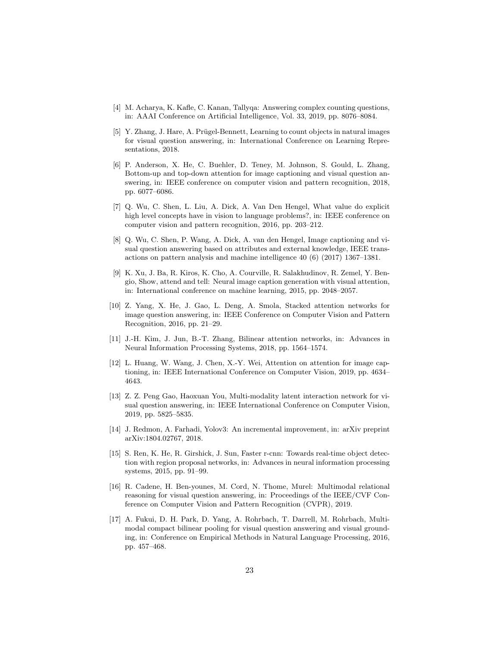- [4] M. Acharya, K. Kafle, C. Kanan, Tallyqa: Answering complex counting questions, in: AAAI Conference on Artificial Intelligence, Vol. 33, 2019, pp. 8076–8084.
- [5] Y. Zhang, J. Hare, A. Prügel-Bennett, Learning to count objects in natural images for visual question answering, in: International Conference on Learning Representations, 2018.
- [6] P. Anderson, X. He, C. Buehler, D. Teney, M. Johnson, S. Gould, L. Zhang, Bottom-up and top-down attention for image captioning and visual question answering, in: IEEE conference on computer vision and pattern recognition, 2018, pp. 6077–6086.
- [7] Q. Wu, C. Shen, L. Liu, A. Dick, A. Van Den Hengel, What value do explicit high level concepts have in vision to language problems?, in: IEEE conference on computer vision and pattern recognition, 2016, pp. 203–212.
- [8] Q. Wu, C. Shen, P. Wang, A. Dick, A. van den Hengel, Image captioning and visual question answering based on attributes and external knowledge, IEEE transactions on pattern analysis and machine intelligence 40 (6) (2017) 1367–1381.
- [9] K. Xu, J. Ba, R. Kiros, K. Cho, A. Courville, R. Salakhudinov, R. Zemel, Y. Bengio, Show, attend and tell: Neural image caption generation with visual attention, in: International conference on machine learning, 2015, pp. 2048–2057.
- [10] Z. Yang, X. He, J. Gao, L. Deng, A. Smola, Stacked attention networks for image question answering, in: IEEE Conference on Computer Vision and Pattern Recognition, 2016, pp. 21–29.
- [11] J.-H. Kim, J. Jun, B.-T. Zhang, Bilinear attention networks, in: Advances in Neural Information Processing Systems, 2018, pp. 1564–1574.
- [12] L. Huang, W. Wang, J. Chen, X.-Y. Wei, Attention on attention for image captioning, in: IEEE International Conference on Computer Vision, 2019, pp. 4634– 4643.
- [13] Z. Z. Peng Gao, Haoxuan You, Multi-modality latent interaction network for visual question answering, in: IEEE International Conference on Computer Vision, 2019, pp. 5825–5835.
- [14] J. Redmon, A. Farhadi, Yolov3: An incremental improvement, in: arXiv preprint arXiv:1804.02767, 2018.
- [15] S. Ren, K. He, R. Girshick, J. Sun, Faster r-cnn: Towards real-time object detection with region proposal networks, in: Advances in neural information processing systems, 2015, pp. 91–99.
- [16] R. Cadene, H. Ben-younes, M. Cord, N. Thome, Murel: Multimodal relational reasoning for visual question answering, in: Proceedings of the IEEE/CVF Conference on Computer Vision and Pattern Recognition (CVPR), 2019.
- [17] A. Fukui, D. H. Park, D. Yang, A. Rohrbach, T. Darrell, M. Rohrbach, Multimodal compact bilinear pooling for visual question answering and visual grounding, in: Conference on Empirical Methods in Natural Language Processing, 2016, pp. 457–468.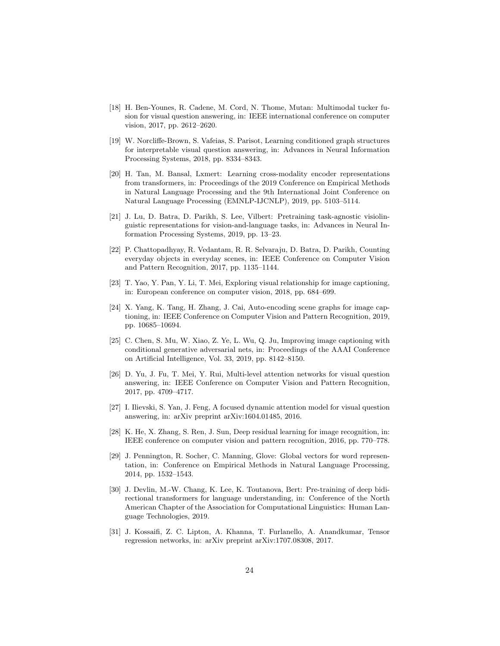- [18] H. Ben-Younes, R. Cadene, M. Cord, N. Thome, Mutan: Multimodal tucker fusion for visual question answering, in: IEEE international conference on computer vision, 2017, pp. 2612–2620.
- [19] W. Norcliffe-Brown, S. Vafeias, S. Parisot, Learning conditioned graph structures for interpretable visual question answering, in: Advances in Neural Information Processing Systems, 2018, pp. 8334–8343.
- [20] H. Tan, M. Bansal, Lxmert: Learning cross-modality encoder representations from transformers, in: Proceedings of the 2019 Conference on Empirical Methods in Natural Language Processing and the 9th International Joint Conference on Natural Language Processing (EMNLP-IJCNLP), 2019, pp. 5103–5114.
- [21] J. Lu, D. Batra, D. Parikh, S. Lee, Vilbert: Pretraining task-agnostic visiolinguistic representations for vision-and-language tasks, in: Advances in Neural Information Processing Systems, 2019, pp. 13–23.
- [22] P. Chattopadhyay, R. Vedantam, R. R. Selvaraju, D. Batra, D. Parikh, Counting everyday objects in everyday scenes, in: IEEE Conference on Computer Vision and Pattern Recognition, 2017, pp. 1135–1144.
- [23] T. Yao, Y. Pan, Y. Li, T. Mei, Exploring visual relationship for image captioning, in: European conference on computer vision, 2018, pp. 684–699.
- [24] X. Yang, K. Tang, H. Zhang, J. Cai, Auto-encoding scene graphs for image captioning, in: IEEE Conference on Computer Vision and Pattern Recognition, 2019, pp. 10685–10694.
- [25] C. Chen, S. Mu, W. Xiao, Z. Ye, L. Wu, Q. Ju, Improving image captioning with conditional generative adversarial nets, in: Proceedings of the AAAI Conference on Artificial Intelligence, Vol. 33, 2019, pp. 8142–8150.
- [26] D. Yu, J. Fu, T. Mei, Y. Rui, Multi-level attention networks for visual question answering, in: IEEE Conference on Computer Vision and Pattern Recognition, 2017, pp. 4709–4717.
- [27] I. Ilievski, S. Yan, J. Feng, A focused dynamic attention model for visual question answering, in: arXiv preprint arXiv:1604.01485, 2016.
- [28] K. He, X. Zhang, S. Ren, J. Sun, Deep residual learning for image recognition, in: IEEE conference on computer vision and pattern recognition, 2016, pp. 770–778.
- [29] J. Pennington, R. Socher, C. Manning, Glove: Global vectors for word representation, in: Conference on Empirical Methods in Natural Language Processing, 2014, pp. 1532–1543.
- [30] J. Devlin, M.-W. Chang, K. Lee, K. Toutanova, Bert: Pre-training of deep bidirectional transformers for language understanding, in: Conference of the North American Chapter of the Association for Computational Linguistics: Human Language Technologies, 2019.
- [31] J. Kossaifi, Z. C. Lipton, A. Khanna, T. Furlanello, A. Anandkumar, Tensor regression networks, in: arXiv preprint arXiv:1707.08308, 2017.